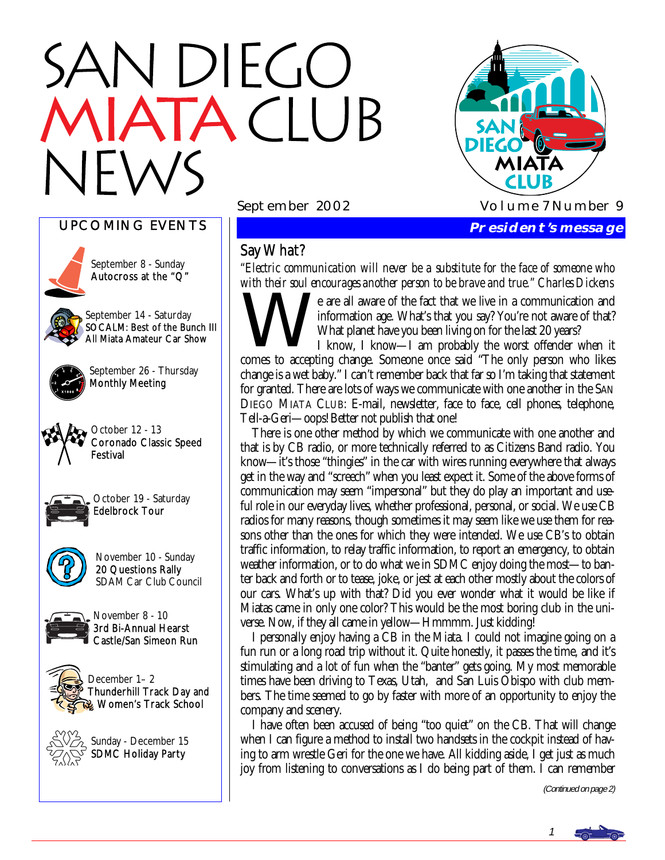# N DIEGO TACIUB



UPCOMING EVENTS



September 8 - Sunday Autocross at the "Q"

September 14 - Saturday SOCALM: Best of the Bunch III All Miata Amateur Car Show



September 26 - Thursday Monthly Meeting



October 12 - 13 Coronado Classic Speed Festival



October 19 - Saturday Edelbrock Tour



November 10 - Sunday 20 Questions Rally SDAM Car Club Council



November 8 - 10 3rd Bi-Annual Hearst Castle/San Simeon Run



December 1– 2 Thunderhill Track Day and Women's Track School



Sunday - December 15 SDMC Holiday Party

### Say What?

*"Electric communication will never be a substitute for the face of someone who* 

*with their soul encourages another person to be brave and true." Charles Dickens*<br> **We** are all aware of the fact that we live in a communication and<br>
information age. What's that you say? You're not aware of that?<br>
What information age. What's that you say? You're not aware of that? What planet have you been living on for the last 20 years?

I know, I know—I am probably the worst offender when it comes to accepting change. Someone once said "The only person who likes change is a wet baby." I can't remember back that far so I'm taking that statement for granted. There are lots of ways we communicate with one another in the SAN DIEGO MIATA CLUB: E-mail, newsletter, face to face, cell phones, telephone, Tell-a-Geri—oops! Better not publish that one!

 There is one other method by which we communicate with one another and that is by CB radio, or more technically referred to as Citizens Band radio. You know—it's those "thingies" in the car with wires running everywhere that always get in the way and "screech" when you least expect it. Some of the above forms of communication may seem "impersonal" but they do play an important and useful role in our everyday lives, whether professional, personal, or social. We use CB radios for many reasons, though sometimes it may seem like we use them for reasons other than the ones for which they were intended. We use CB's to obtain traffic information, to relay traffic information, to report an emergency, to obtain weather information, or to do what we in SDMC enjoy doing the most—to banter back and forth or to tease, joke, or jest at each other mostly about the colors of our cars. What's up with that? Did you ever wonder what it would be like if Miatas came in only one color? This would be the most boring club in the universe. Now, if they all came in yellow—Hmmmm. Just kidding!

 I personally enjoy having a CB in the Miata. I could not imagine going on a fun run or a long road trip without it. Quite honestly, it passes the time, and it's stimulating and a lot of fun when the "banter" gets going. My most memorable times have been driving to Texas, Utah, and San Luis Obispo with club members. The time seemed to go by faster with more of an opportunity to enjoy the company and scenery.

 I have often been accused of being "too quiet" on the CB. That will change when I can figure a method to install two handsets in the cockpit instead of having to arm wrestle Geri for the one we have. All kidding aside, I get just as much joy from listening to conversations as I do being part of them. I can remember

(Continued on page 2)

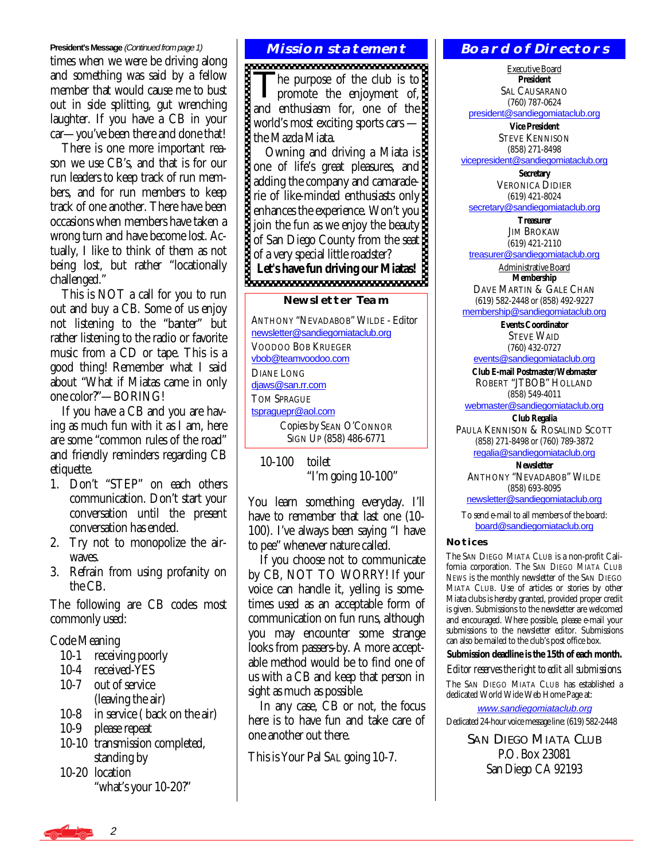#### **President's Message** (Continued from page 1)

times when we were be driving along and something was said by a fellow member that would cause me to bust out in side splitting, gut wrenching laughter. If you have a CB in your car—you've been there and done that!

 There is one more important reason we use CB's, and that is for our run leaders to keep track of run members, and for run members to keep track of one another. There have been occasions when members have taken a wrong turn and have become lost. Actually, I like to think of them as not being lost, but rather "locationally challenged."

 This is NOT a call for you to run out and buy a CB. Some of us enjoy not listening to the "banter" but rather listening to the radio or favorite music from a CD or tape. This is a good thing! Remember what I said about "What if Miatas came in only one color?"—BORING!

 If you have a CB and you are having as much fun with it as I am, here are some "common rules of the road" and friendly reminders regarding CB etiquette.

- 1. Don't "STEP" on each others communication. Don't start your conversation until the present conversation has ended.
- 2. Try not to monopolize the airwaves.
- 3. Refrain from using profanity on the CB.

The following are CB codes most commonly used:

Code Meaning

- 10-1 receiving poorly
- 10-4 received-YES
- 10-7 out of service (leaving the air)
- 10-8 in service ( back on the air)
- 10-9 please repeat
- 10-10 transmission completed, standing by
- 10-20 location "what's your 10-20?"

#### **Mission statement**

The purpose of the club is to<br>promote the enjoyment of, and enthusiasm for, one of the world's most exciting sports cars world's most exciting sports cars —

 Owning and driving a Miata is one of life's great pleasures, and adding the company and camaraderie of like-minded enthusiasts only enhances the experience. Won't you join the fun as we enjoy the beauty of San Diego County from the seat of a very special little roadster? Let's have fun driving our *ivenue.* 

#### **Newsletter Team**

ANTHONY "NEVADABOB" WILDE - Editor [newsletter@sandiegomiataclub.org](mailto:newsletter@sandiegomiataclub.org) VOODOO BOB KRUEGER [vbob@teamvoodoo.com](mailto:vbob@teamvoodoo.com) DIANE LONG diaws@san.rr.com TOM SPRAGUE [tspraguepr@aol.com](mailto:tsprague@aol.com) Copies by SEAN O'CONNOR SIGN UP (858) 486-6771

 10-100 toilet "I'm going 10-100"

You learn something everyday. I'll have to remember that last one (10- 100). I've always been saying "I have to pee" whenever nature called.

 If you choose not to communicate by CB, NOT TO WORRY! If your voice can handle it, yelling is sometimes used as an acceptable form of communication on fun runs, although you may encounter some strange looks from passers-by. A more acceptable method would be to find one of us with a CB and keep that person in sight as much as possible.

 In any case, CB or not, the focus here is to have fun and take care of one another out there.

This is Your Pal SAL going 10-7.

#### **Board of Directors**

Executive Board **President**  SAL CAUSARANO (760) 787-0624

[president@sandiegomiataclub.org](mailto:president@sandiegomiataclub.org)

**Vice President**  STEVE KENNISON (858) 271-8498 [vicepresident@sandiegomiataclub.org](mailto:vicepresident@sandiegomiataclub.org)

> **Secretary**  VERONICA DIDIER (619) 421-8024

[secretary@sandiegomiataclub.org](mailto:secretary@sandiegomiataclub.org)

**Treasurer**  JIM BROKAW (619) 421-2110

[treasurer@sandiegomiataclub.org](mailto:treasurer@sandiegomiataclub.org)

Administrative Board **Membership** 

DAVE MARTIN & GALE CHAN (619) 582-2448 or (858) 492-9227

[membership@sandiegomiataclub.org](mailto:membership@sandiegomiataclub.org)

**Events Coordinator**  STEVE WAID (760) 432-0727

[events@sandiegomiataclub.org](mailto:events@sandiegomiataclub.org)

**Club E-mail Postmaster/Webmaster**  ROBERT "JTBOB" HOLLAND (858) 549-4011

[webmaster@sandiegomiataclub.org](mailto:webmaster@sandiegomiataclub.org) **Club Regalia** 

PAULA KENNISON & ROSALIND SCOTT (858) 271-8498 or (760) 789-3872 [regalia@sandiegomiataclub.org](mailto:regalia@sandiegomiataclub.org)

**Newsletter** 

ANTHONY "NEVADABOB" WILDE (858) 693-8095 [newsletter@sandiegomiataclub.org](mailto:newsletter@sandiegomiataclub.org)

To send e-mail to all members of the board: [board@sandiegomiataclub.org](mailto:board@sandiegomiataclub.org)

#### **Notices**

The SAN DIEGO MIATA CLUB is a non-profit California corporation. The *SAN DIEGO MIATA CLUB NEWS* is the monthly newsletter of the SAN DIEGO MIATA CLUB. Use of articles or stories by other Miata clubs is hereby granted, provided proper credit is given. Submissions to the newsletter are welcomed and encouraged. Where possible, please e-mail your submissions to the newsletter editor. Submissions can also be mailed to the club's post office box.

**Submission deadline is the 15th of each month.** 

*Editor reserves the right to edit all submissions.*

The SAN DIEGO MIATA CLUB has established a dedicated World Wide Web Home Page at:

[www.sandiegomiataclub.org](http://www.sandiegomiataclub.org) Dedicated 24-hour voice message line: (619) 582-2448

> SAN DIEGO MIATA CLUB P.O. Box 23081 San Diego CA 92193

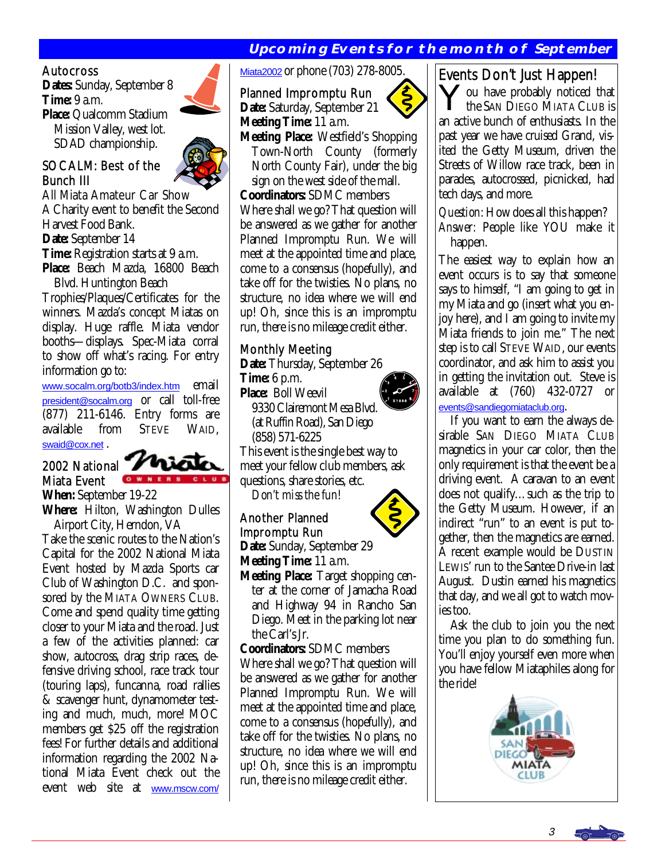#### **Upcoming Events for the month of September**

#### Autocross

**Dates:** Sunday, September 8 **Time:** 9 a.m. **Place:** Qualcomm Stadium Mission Valley, west lot. SDAD championship.

#### SOCALM: Best of the Bunch III

All Miata Amateur Car Show A Charity event to benefit the Second Harvest Food Bank. **Date:** September 14 **Time:** Registration starts at 9 a.m. **Place:** Beach Mazda, 16800 Beach Blvd. Huntington Beach

Trophies/Plaques/Certificates for the winners. Mazda's concept Miatas on display. Huge raffle. Miata vendor booths—displays. Spec-Miata corral to show off what's racing. For entry information go to:

[www.socalm.org/botb3/index.htm](http://www.socalm.org/botb3/index.htm) email [president@socalm.org](mailto:president@socalm.org) or call toll-free (877) 211-6146. Entry forms are available from STEVE WAID, [swaid@cox.net](mailto:swaid@cox.net)



**When:** September 19-22 **Where:** Hilton, Washington Dulles Airport City, Herndon, VA

Take the scenic routes to the Nation's Capital for the 2002 National Miata Event hosted by Mazda Sports car Club of Washington D.C. and sponsored by the MIATA OWNERS CLUB. Come and spend quality time getting closer to your Miata and the road. Just a few of the activities planned: car show, autocross, drag strip races, defensive driving school, race track tour (touring laps), funcanna, road rallies & scavenger hunt, dynamometer testing and much, much, more! MOC members get \$25 off the registration fees! For further details and additional information regarding the 2002 National Miata Event check out the event web site at [www.mscw.com/](http://www.mscw.com/Miata2002)

[Miata2002](http://www.mscw.com/Miata2002) or phone (703) 278-8005.

Planned Impromptu Run **Date:** Saturday, September 21 **Meeting Time:** 11 a.m. **Meeting Place:** Westfield's Shopping Town-North County (formerly North County Fair), under the big sign on the west side of the mall. **Coordinators:** SDMC members Where shall we go? That question will be answered as we gather for another Planned Impromptu Run. We will meet at the appointed time and place, come to a consensus (hopefully), and take off for the twisties. No plans, no structure, no idea where we will end up! Oh, since this is an impromptu

#### Monthly Meeting

**Date:** Thursday, September 26

run, there is no mileage credit either.

**Time:** 6 p.m. **Place:** Boll Weevil 9330 Clairemont Mesa Blvd. (at Ruffin Road), San Diego

(858) 571-6225

This event is the single best way to meet your fellow club members, ask questions, share stories, etc.

*Don't miss the fun!* 

#### Another Planned Impromptu Run

**Date:** Sunday, September 29 **Meeting Time:** 11 a.m.

**Meeting Place:** Target shopping cen ter at the corner of Jamacha Road and Highway 94 in Rancho San Diego. Meet in the parking lot near the Carl's Jr.

**Coordinators:** SDMC members

Where shall we go? That question will be answered as we gather for another Planned Impromptu Run. We will meet at the appointed time and place, come to a consensus (hopefully), and take off for the twisties. No plans, no structure, no idea where we will end up! Oh, since this is an impromptu run, there is no mileage credit either.

#### Events Don't Just Happen!

ou have probably noticed that the SAN DIEGO MIATA CLUB is an active bunch of enthusiasts. In the past year we have cruised Grand, visited the Getty Museum, driven the Streets of Willow race track, been in parades, autocrossed, picnicked, had tech days, and more.

*Question:* How does all this happen? *Answer:* People like YOU make it happen.

The easiest way to explain how an event occurs is to say that someone says to himself, "I am going to get in my Miata and go (insert what you enjoy here), and I am going to invite my Miata friends to join me." The next step is to call STEVE WAID, our events coordinator, and ask him to assist you in getting the invitation out. Steve is available at (760) 432-0727 or [events@sandiegomiataclub.org](mailto:events@sandiegomiataclub.org).

 If you want to earn the always desirable SAN DIEGO MIATA CLUB magnetics in your car color, then the only requirement is that the event be a driving event. A caravan to an event does not qualify…such as the trip to the Getty Museum. However, if an indirect "run" to an event is put together, then the magnetics are earned. A recent example would be DUSTIN LEWIS' run to the Santee Drive-in last August. Dustin earned his magnetics that day, and we all got to watch movies too.

 Ask the club to join you the next time you plan to do something fun. You'll enjoy yourself even more when you have fellow Miataphiles along for the ride!









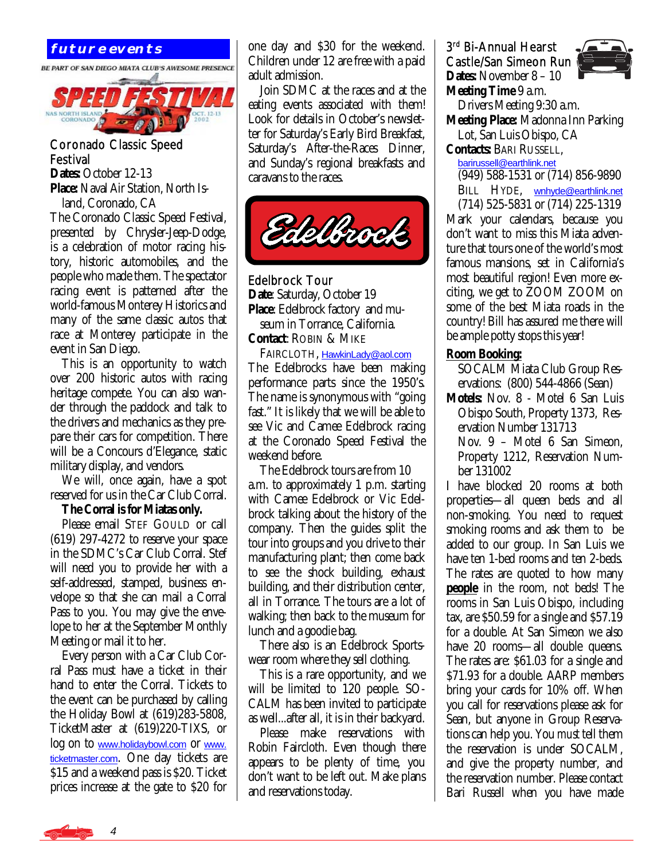

#### Coronado Classic Speed Festival

**Dates:** October 12-13 **Place:** Naval Air Station, North Is land, Coronado, CA

The Coronado Classic Speed Festival, presented by Chrysler-Jeep-Dodge, is a celebration of motor racing history, historic automobiles, and the people who made them. The spectator racing event is patterned after the world-famous Monterey Historics and many of the same classic autos that race at Monterey participate in the event in San Diego.

 This is an opportunity to watch over 200 historic autos with racing heritage compete. You can also wander through the paddock and talk to the drivers and mechanics as they prepare their cars for competition. There will be a Concours d'Elegance, static military display, and vendors.

 We will, once again, have a spot reserved for us in the Car Club Corral.

#### **The Corral is for Miatas only.**

 Please email STEF GOULD or call (619) 297-4272 to reserve your space in the SDMC's Car Club Corral. Stef will need you to provide her with a self-addressed, stamped, business envelope so that she can mail a Corral Pass to you. You may give the envelope to her at the September Monthly Meeting or mail it to her.

 Every person with a Car Club Corral Pass must have a ticket in their hand to enter the Corral. Tickets to the event can be purchased by calling the Holiday Bowl at (619)283-5808, TicketMaster at (619)220-TIXS, or log on to [www.holidaybowl.com](http://www.holidaybowl.com) or [www.](http://www.ticketmaster.com) [ticketmaster.com](http://www.ticketmaster.com). One day tickets are \$15 and a weekend pass is \$20. Ticket prices increase at the gate to \$20 for

**FUTURE EVENTS** and S30 for the weekend. Children under 12 are free with a paid adult admission.

> Join SDMC at the races and at the eating events associated with them! Look for details in October's newsletter for Saturday's Early Bird Breakfast, Saturday's After-the-Races Dinner, and Sunday's regional breakfasts and caravans to the races.



Edelbrock Tour **Date**: Saturday, October 19 **Place**: Edelbrock factory and mu seum in Torrance, California. **Contact**: ROBIN & MIKE

 FAIRCLOTH, [HawkinLady@aol.com](mailto:HawkinLady@aol.com) The Edelbrocks have been making performance parts since the 1950's. The name is synonymous with "going fast." It is likely that we will be able to see Vic and Camee Edelbrock racing at the Coronado Speed Festival the weekend before.

 The Edelbrock tours are from 10 a.m. to approximately 1 p.m. starting with Camee Edelbrock or Vic Edelbrock talking about the history of the company. Then the guides split the tour into groups and you drive to their manufacturing plant; then come back to see the shock building, exhaust building, and their distribution center, all in Torrance. The tours are a lot of walking; then back to the museum for lunch and a goodie bag.

 There also is an Edelbrock Sportswear room where they sell clothing.

 This is a rare opportunity, and we will be limited to 120 people. SO-CALM has been invited to participate as well...after all, it is in their backyard.

 Please make reservations with Robin Faircloth. Even though there appears to be plenty of time, you don't want to be left out. Make plans and reservations today.

3rd Bi-Annual Hearst Castle/San Simeon Run **Dates:** November 8 – 10 **Meeting Time** 9 a.m.



 Drivers Meeting 9:30 a.m. **Meeting Place:** Madonna Inn Parking Lot, San Luis Obispo, CA

**Contacts:** BARI RUSSELL,

[barirussell@earthlink.net](mailto:barirussell@earthlink.net) (949) 588-1531 or (714) 856-9890 BILL HYDE, wnhyde@earthlink.net (714) 525-5831 or (714) 225-1319

Mark your calendars, because you don't want to miss this Miata adventure that tours one of the world's most famous mansions, set in California's most beautiful region! Even more exciting, we get to ZOOM ZOOM on some of the best Miata roads in the country! Bill has assured me there will be ample potty stops this year!

#### **Room Booking:**

 SOCALM Miata Club Group Res ervations: (800) 544-4866 (Sean)

- **Motels:** Nov. 8 Motel 6 San Luis Obispo South, Property 1373, Res ervation Number 131713
	- Nov. 9 Motel 6 San Simeon, Property 1212, Reservation Num ber 131002

I have blocked 20 rooms at both properties—all queen beds and all non-smoking. You need to request smoking rooms and ask them to be added to our group. In San Luis we have ten 1-bed rooms and ten 2-beds. The rates are quoted to how many **people** in the room, not beds! The rooms in San Luis Obispo, including tax, are \$50.59 for a single and \$57.19 for a double. At San Simeon we also have 20 rooms—all double queens. The rates are: \$61.03 for a single and \$71.93 for a double. AARP members bring your cards for 10% off. When you call for reservations please ask for Sean, but anyone in Group Reservations can help you. You *must* tell them the reservation is under SOCALM, and give the property number, and the reservation number. Please contact Bari Russell when you have made

4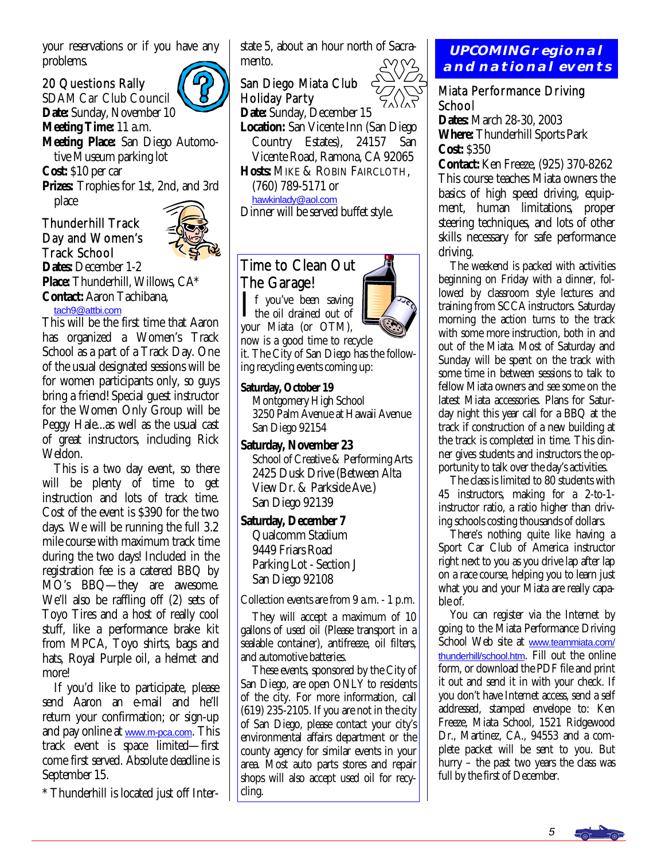your reservations or if you have any problems.

#### 20 Questions Rally

SDAM Car Club Council **Date:** Sunday, November 10 **Meeting Time:** 11 a.m. **Meeting Place:** San Diego Automo tive Museum parking lot **Cost:** \$10 per car **Prizes:** Trophies for 1st, 2nd, and 3rd place

#### Thunderhill Track Day and Women's Track School



**Dates:** December 1-2 **Place:** Thunderhill, Willows, CA\* **Contact:** Aaron Tachibana, [tach9@attbi.com](mailto:tach9@attbi.com)

This will be the first time that Aaron has organized a Women's Track School as a part of a Track Day. One of the usual designated sessions will be for women participants only, so guys bring a friend! Special guest instructor for the Women Only Group will be Peggy Hale...as well as the usual cast of great instructors, including Rick Weldon.

 This is a two day event, so there will be plenty of time to get instruction and lots of track time. Cost of the event is \$390 for the two days. We will be running the full 3.2 mile course with maximum track time during the two days! Included in the registration fee is a catered BBQ by MO's BBQ—they are awesome. We'll also be raffling off (2) sets of Toyo Tires and a host of really cool stuff, like a performance brake kit from MPCA, Toyo shirts, bags and hats, Royal Purple oil, a helmet and more!

 If you'd like to participate, please send Aaron an e-mail and he'll return your confirmation; or sign-up and pay online at <u>[www.m-pca.com](http://www.m-pca.com)</u>. This track event is space limited—first come first served. Absolute deadline is September 15.

\* Thunderhill is located just off Inter-

state 5, about an hour north of Sacramento.

San Diego Miata Club Holiday Party

**Date:** Sunday, December 15 **Location:** San Vicente Inn (San Diego Country Estates), 24157 San Vicente Road, Ramona, CA 92065 **Hosts:** MIKE & ROBIN FAIRCLOTH, (760) 789-5171 or

[hawkinlady@aol.com](mailto:HawkinLady@aol.com)

Dinner will be served buffet style.

#### Time to Clean Out The Garage!

 $\prod$  f you've been saving<br>the oil drained out of your Miata (or OTM), now is a good time to recycle

it. The City of San Diego has the following recycling events coming up:

#### **Saturday, October 19**

 Montgomery High School 3250 Palm Avenue at Hawaii Avenue San Diego 92154

**Saturday, November 23**  School of Creative & Performing Arts 2425 Dusk Drive (Between Alta View Dr. & Parkside Ave.) San Diego 92139

 Qualcomm Stadium 9449 Friars Road Parking Lot - Section J

Collection events are from 9 a.m. - 1 p.m.

 They will accept a maximum of 10 gallons of used oil (Please transport in a sealable container), antifreeze, oil filters. and automotive batteries.

 These events, sponsored by the City of San Diego, are open ONLY to residents of the city. For more information, call (619) 235-2105. If you are not in the city of San Diego, please contact your city's environmental affairs department or the county agency for similar events in your area. Most auto parts stores and repair shops will also accept used oil for recycling.

#### **UPCOMING regional and national events**

#### Miata Performance Driving **School**

**Dates:** March 28-30, 2003 **Where:** Thunderhill Sports Park **Cost:** \$350

**Contact:** Ken Freeze, (925) 370-8262 This course teaches Miata owners the basics of high speed driving, equipment, human limitations, proper steering techniques, and lots of other skills necessary for safe performance driving.

 The weekend is packed with activities beginning on Friday with a dinner, followed by classroom style lectures and training from SCCA instructors. Saturday morning the action turns to the track with some more instruction, both in and out of the Miata. Most of Saturday and Sunday will be spent on the track with some time in between sessions to talk to fellow Miata owners and see some on the latest Miata accessories. Plans for Saturday night this year call for a BBQ at the track if construction of a new building at the track is completed in time. This dinner gives students and instructors the opportunity to talk over the day's activities.

 The class is limited to 80 students with 45 instructors, making for a 2-to-1 instructor ratio, a ratio higher than driving schools costing thousands of dollars.

 There's nothing quite like having a Sport Car Club of America instructor right next to you as you drive lap after lap on a race course, helping you to learn just what you and your Miata are really capable of.

 You can register via the Internet by going to the Miata Performance Driving School Web site at [www.teammiata.com/](http://www.teammiata.com/thunderhill/school.htm) [thunderhill/school.htm](http://www.teammiata.com/thunderhill/school.htm). Fill out the online form, or download the PDF file and print it out and send it in with your check. If you don't have Internet access, send a self addressed, stamped envelope to: Ken Freeze, Miata School, 1521 Ridgewood Dr., Martinez, CA., 94553 and a complete packet will be sent to you. But hurry – the past two years the class was full by the first of December.



**Saturday, December 7** 

San Diego 92108

5

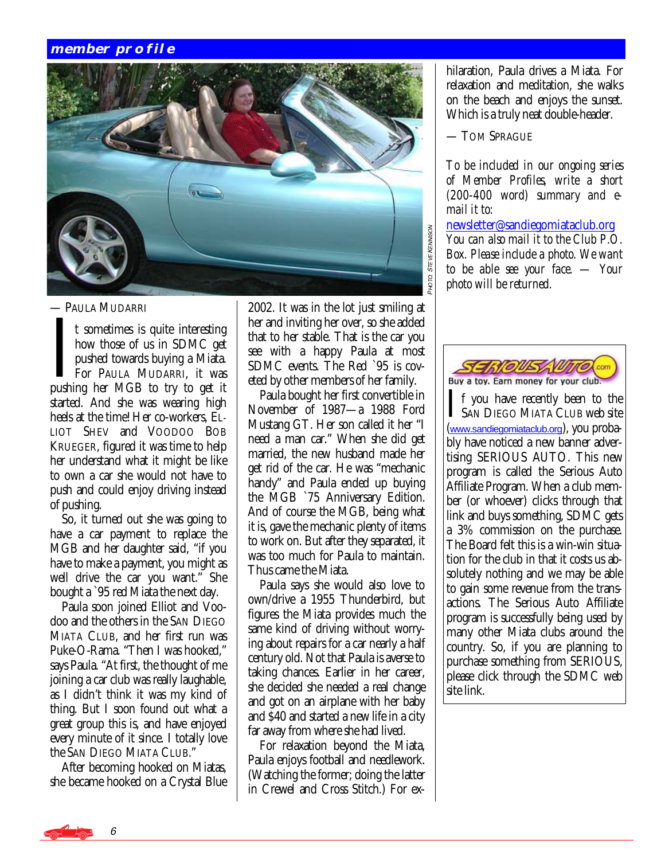#### **member profile**



— PAULA MUDARRI

I t sometimes is quite interesting<br>
how those of us in SDMC get<br>
pushed towards buying a Miata.<br>
For PAULA MUDARRI, it was<br>
pushing her MGB to try to get it how those of us in SDMC get pushed towards buying a Miata. For PAULA MUDARRI, it was started. And she was wearing high heels at the time! Her co-workers, EL-LIOT SHEV and VOODOO BOB KRUEGER, figured it was time to help her understand what it might be like to own a car she would not have to push and could enjoy driving instead of pushing.

 So, it turned out she was going to have a car payment to replace the MGB and her daughter said, "if you have to make a payment, you might as well drive the car you want." She bought a `95 red Miata the next day.

 Paula soon joined Elliot and Voodoo and the others in the SAN DIEGO MIATA CLUB, and her first run was Puke-O-Rama. "Then I was hooked," says Paula. "At first, the thought of me joining a car club was really laughable, as I didn't think it was my kind of thing. But I soon found out what a great group this is, and have enjoyed every minute of it since. I totally love the SAN DIEGO MIATA CLUB."

 After becoming hooked on Miatas, she became hooked on a Crystal Blue 2002. It was in the lot just smiling at her and inviting her over, so she added that to her stable. That is the car you see with a happy Paula at most SDMC events. The Red `95 is coveted by other members of her family.

 Paula bought her first convertible in November of 1987—a 1988 Ford Mustang GT. Her son called it her "I need a man car." When she did get married, the new husband made her get rid of the car. He was "mechanic handy" and Paula ended up buying the MGB `75 Anniversary Edition. And of course the MGB, being what it is, gave the mechanic plenty of items to work on. But after they separated, it was too much for Paula to maintain. Thus came the Miata.

 Paula says she would also love to own/drive a 1955 Thunderbird, but figures the Miata provides much the same kind of driving without worrying about repairs for a car nearly a half century old. Not that Paula is averse to taking chances. Earlier in her career, she decided she needed a real change and got on an airplane with her baby and \$40 and started a new life in a city far away from where she had lived.

 For relaxation beyond the Miata, Paula enjoys football and needlework. (Watching the former; doing the latter in Crewel and Cross Stitch.) For exhilaration, Paula drives a Miata. For relaxation and meditation, she walks on the beach and enjoys the sunset. Which is a truly neat double-header.

— TOM SPRAGUE

*To be included in our ongoing series of Member Profiles, write a short (200-400 word) summary and email it to:* 

[newsletter@sandiegomiataclub.org](mailto:newsletter@sandiegomiataclub.org) *You can also mail it to the Club P.O. Box. Please include a photo. We want to be able see your face. — Your photo will be returned.* 



I f you have recently been to the **L** SAN DIEGO MIATA CLUB web site ([www.sandiegomiataclub.org](http://www.sandiegomiataclub.org)), you probably have noticed a new banner advertising SERIOUS AUTO. This new program is called the Serious Auto Affiliate Program. When a club member (or whoever) clicks through that link and buys something, SDMC gets a 3% commission on the purchase. The Board felt this is a win-win situation for the club in that it costs us absolutely nothing and we may be able to gain some revenue from the transactions. The Serious Auto Affiliate program is successfully being used by many other Miata clubs around the country. So, if you are planning to purchase something from SERIOUS, please click through the SDMC web site link.

6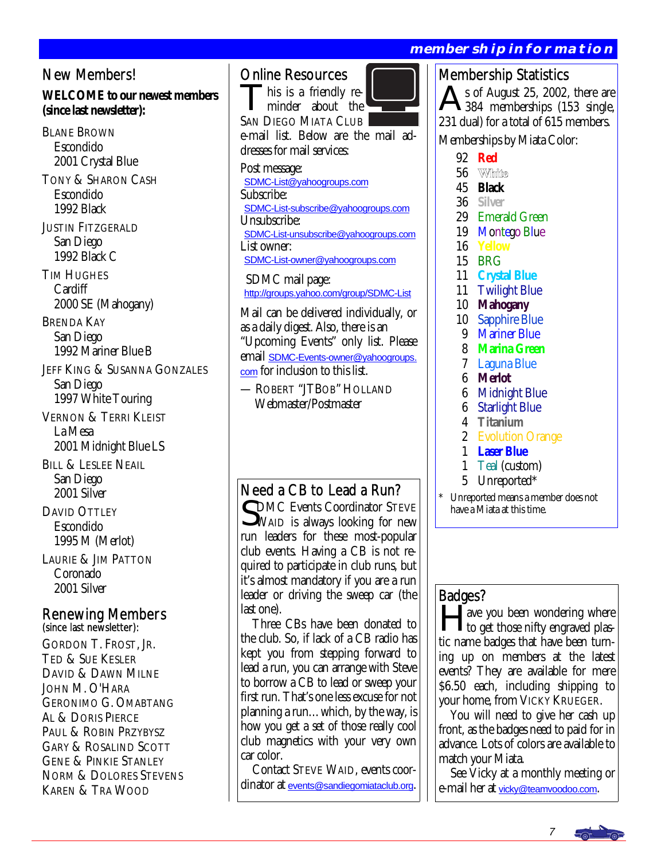#### New Members!

#### **WELCOME to our newest members (since last newsletter):**

BLANE BROWN Escondido 2001 Crystal Blue TONY & SHARON CASH Escondido 1992 Black JUSTIN FITZGERALD San Diego 1992 Black C TIM HUGHES **Cardiff**  2000 SE (Mahogany) BRENDA KAY San Diego 1992 Mariner Blue B JEFF KING & SUSANNA GONZALES San Diego 1997 White Touring VERNON & TERRI KLEIST La Mesa 2001 Midnight Blue LS BILL & LESLEE NEAIL San Diego 2001 Silver DAVID OTTLEY Escondido 1995 M (Merlot)

LAURIE & JIM PATTON Coronado 2001 Silver

## Renewing Members (since last newsletter):

GORDON T. FROST, JR. TED & SUE KESLER DAVID & DAWN MILNE JOHN M. O'HARA GERONIMO G. OMABTANG AL & DORIS PIERCE PAUL & ROBIN PRZYBYSZ GARY & ROSALIND SCOTT GENE & PINKIE STANLEY NORM & DOLORES STEVENS KAREN & TRA WOOD

#### Online Resources

his is a friendly reminder about the SAN DIEGO MIATA CLUB e-mail list. Below are the mail addresses for mail services:

Post message: [SDMC-List@yahoogroups.com](mailto:SDMC-List@yahoogroups.com) Subscribe: [SDMC-List-subscribe@yahoogroups.com](mailto:SDMC-List-subscribe@yahoogroups.com) Unsubscribe: [SDMC-List-unsubscribe@yahoogroups.com](mailto:SDMC-List-unsubscribe@yahoogroups.com) List owner: [SDMC-List-owner@yahoogroups.com](mailto:SDMC-List-owner@yahoogroups.com)

 SDMC mail page: <http://groups.yahoo.com/group/SDMC-List>

 Mail can be delivered individually, or as a daily digest. Also, there is an "Upcoming Events" only list. Please email [SDMC-Events-owner@yahoogroups.](../../../../../../../../SDMC2005%20folder/SDMC2005/newsletter/SDMC-Events-owner@yahoogroups.com) [com](../../../../../../../../SDMC2005%20folder/SDMC2005/newsletter/SDMC-Events-owner@yahoogroups.com) for inclusion to this list.

— ROBERT "JTBOB" HOLLAND Webmaster/Postmaster

#### Need a CB to Lead a Run?

CDMC Events Coordinator STEVE WAID is always looking for new run leaders for these most-popular club events. Having a CB is not required to participate in club runs, but it's almost mandatory if you are a run leader or driving the sweep car (the last one).

 Three CBs have been donated to the club. So, if lack of a CB radio has kept you from stepping forward to lead a run, you can arrange with Steve to borrow a CB to lead or sweep your first run. That's one less excuse for not planning a run…which, by the way, is how you get a set of those really cool club magnetics with your very own car color.

 Contact STEVE WAID, events coordinator at [events@sandiegomiataclub.org](mailto:events@sandiegomiataclub.org).

#### **membership information**

#### Membership Statistics

 $\triangle$  s of August 25, 2002, there are 384 memberships (153 single, 231 dual) for a total of 615 members. Memberships by Miata Color:

- 92 **Red**
- 56 White
- 45 **Black**
- 36 **Silver**
- 29 Emerald Green
- 19 Montego Blue
- 16 **Yellow**
- 15 BRG
- 11 **Crystal Blue**
- 11 Twilight Blue
- 10 **Mahogany**
- 10 Sapphire Blue<br>9 Mariner Blue
- **Mariner Blue**
- 8 **Marina Green**
- 7 Laguna Blue
- 6 **Merlot**
- **Midnight Blue**
- 6 Starlight Blue
- 4 **Titanium**
- 2 Evolution Orange
- 1 **Laser Blue**
- Teal (custom)
- 5 Unreported\*

Unreported means a member does not have a Miata at this time.

#### Badges?

ave you been wondering where to get those nifty engraved plastic name badges that have been turning up on members at the latest events? They are available for mere \$6.50 each, including shipping to your home, from VICKY KRUEGER.

 You will need to give her cash up front, as the badges need to paid for in advance. Lots of colors are available to match your Miata.

 See Vicky at a monthly meeting or e-mail her at [vicky@teamvoodoo.com](mailto:vicky@teamvoodoo.com).

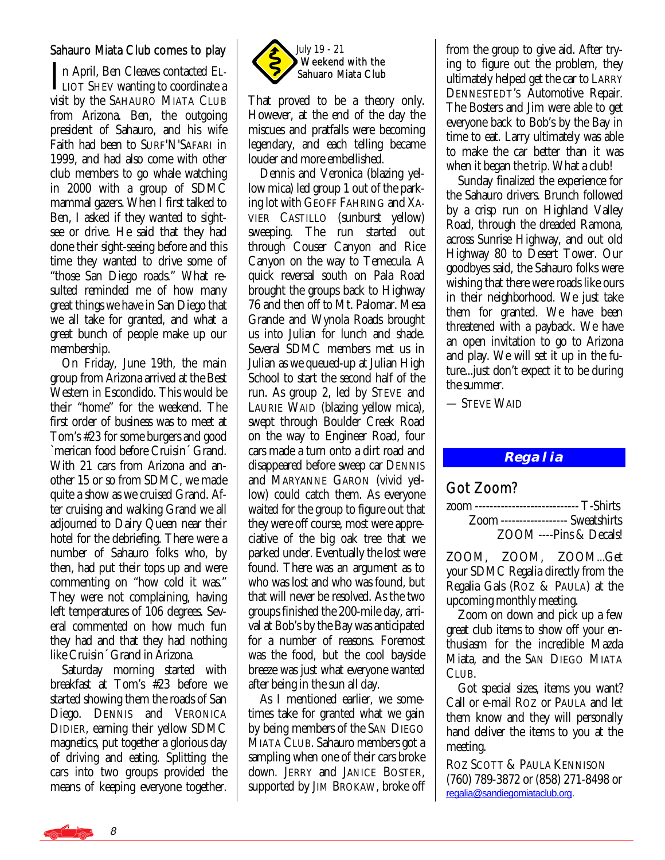#### Sahauro Miata Club comes to play

In April, Ben Cleaves contacted EL-<br>LIOT SHEV wanting to coordinate a visit by the SAHAURO MIATA CLUB from Arizona. Ben, the outgoing president of Sahauro, and his wife Faith had been to SURF'N'SAFARI in 1999, and had also come with other club members to go whale watching in 2000 with a group of SDMC mammal gazers. When I first talked to Ben, I asked if they wanted to sightsee or drive. He said that they had done their sight-seeing before and this time they wanted to drive some of "those San Diego roads." What resulted reminded me of how many great things we have in San Diego that we all take for granted, and what a great bunch of people make up our membership.

 On Friday, June 19th, the main group from Arizona arrived at the Best Western in Escondido. This would be their "home" for the weekend. The first order of business was to meet at Tom's #23 for some burgers and good `merican food before Cruisin´ Grand. With 21 cars from Arizona and another 15 or so from SDMC, we made quite a show as we cruised Grand. After cruising and walking Grand we all adjourned to Dairy Queen near their hotel for the debriefing. There were a number of Sahauro folks who, by then, had put their tops up and were commenting on "how cold it was." They were not complaining, having left temperatures of 106 degrees. Several commented on how much fun they had and that they had nothing like Cruisin´ Grand in Arizona.

 Saturday morning started with breakfast at Tom's #23 before we started showing them the roads of San Diego. DENNIS and VERONICA DIDIER, earning their yellow SDMC magnetics, put together a glorious day of driving and eating. Splitting the cars into two groups provided the means of keeping everyone together.



That proved to be a theory only. However, at the end of the day the miscues and pratfalls were becoming legendary, and each telling became louder and more embellished.

 Dennis and Veronica (blazing yellow mica) led group 1 out of the parking lot with GEOFF FAHRING and XA-VIER CASTILLO (sunburst yellow) sweeping. The run started out through Couser Canyon and Rice Canyon on the way to Temecula. A quick reversal south on Pala Road brought the groups back to Highway 76 and then off to Mt. Palomar. Mesa Grande and Wynola Roads brought us into Julian for lunch and shade. Several SDMC members met us in Julian as we queued-up at Julian High School to start the second half of the run. As group 2, led by STEVE and LAURIE WAID (blazing yellow mica), swept through Boulder Creek Road on the way to Engineer Road, four cars made a turn onto a dirt road and disappeared before sweep car DENNIS and MARYANNE GARON (vivid yellow) could catch them. As everyone waited for the group to figure out that they were off course, most were appreciative of the big oak tree that we parked under. Eventually the lost were found. There was an argument as to who was lost and who was found, but that will never be resolved. As the two groups finished the 200-mile day, arrival at Bob's by the Bay was anticipated for a number of reasons. Foremost was the food, but the cool bayside breeze was just what everyone wanted after being in the sun all day.

 As I mentioned earlier, we sometimes take for granted what we gain by being members of the SAN DIEGO MIATA CLUB. Sahauro members got a sampling when one of their cars broke down. JERRY and JANICE BOSTER, supported by JIM BROKAW, broke off from the group to give aid. After trying to figure out the problem, they ultimately helped get the car to LARRY DENNESTEDT'S Automotive Repair. The Bosters and Jim were able to get everyone back to Bob's by the Bay in time to eat. Larry ultimately was able to make the car better than it was when it began the trip. What a club!

 Sunday finalized the experience for the Sahauro drivers. Brunch followed by a crisp run on Highland Valley Road, through the dreaded Ramona, across Sunrise Highway, and out old Highway 80 to Desert Tower. Our goodbyes said, the Sahauro folks were wishing that there were roads like ours in their neighborhood. We just take them for granted. We have been threatened with a payback. We have an open invitation to go to Arizona and play. We will set it up in the future...just don't expect it to be during the summer.

— STEVE WAID

#### **Regalia**

#### Got Zoom?

| zoom ----------------------------- T-Shirts |  |
|---------------------------------------------|--|
| <b>Zoom</b> ------------------ Sweatshirts  |  |
| ZOOM ----Pins & Decals!                     |  |

ZOOM, ZOOM, ZOOM...Get your SDMC Regalia directly from the Regalia Gals (ROZ & PAULA) at the upcoming monthly meeting.

 Zoom on down and pick up a few great club items to show off your enthusiasm for the incredible Mazda Miata, and the SAN DIEGO MIATA CLUB.

 Got special sizes, items you want? Call or e-mail ROZ or PAULA and let them know and they will personally hand deliver the items to you at the meeting.

ROZ SCOTT & PAULA KENNISON (760) 789-3872 or (858) 271-8498 or [regalia@sandiegomiataclub.org.](mailto:regalia@sandiegomiataclub.org)

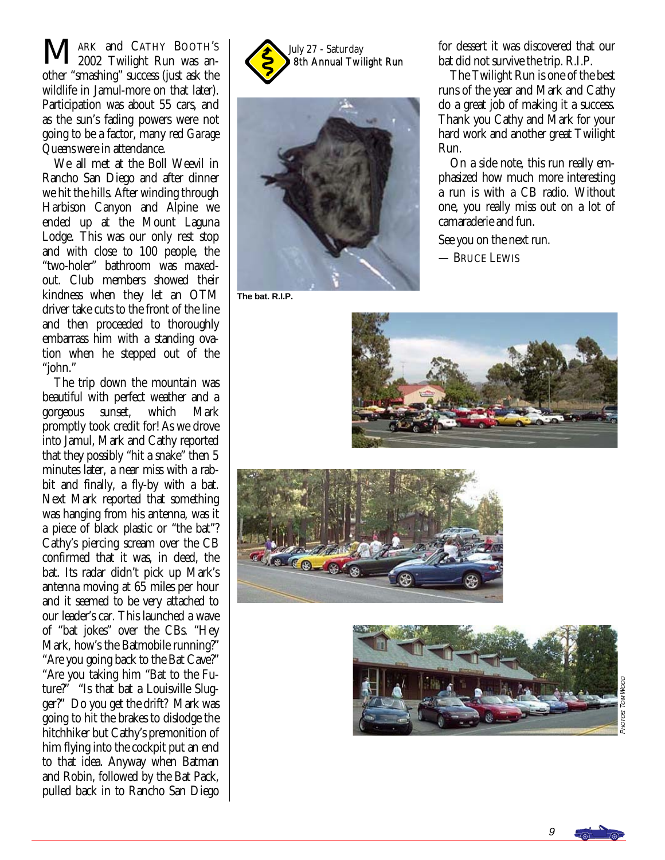MARK and CATHY BOOTH'S July 27 - Saturday July 27 - Saturday ARK and CATHY BOOTH'S 2002 Twilight Run was another "smashing" success (just ask the wildlife in Jamul-more on that later). Participation was about 55 cars, and as the sun's fading powers were not going to be a factor, many red *Garage Queens* were in attendance.

 We all met at the Boll Weevil in Rancho San Diego and after dinner we hit the hills. After winding through Harbison Canyon and Alpine we ended up at the Mount Laguna Lodge. This was our only rest stop and with close to 100 people, the "two-holer" bathroom was maxedout. Club members showed their kindness when they let an OTM driver take cuts to the front of the line and then proceeded to thoroughly embarrass him with a standing ovation when he stepped out of the "john."

 The trip down the mountain was beautiful with perfect weather and a<br>gorgeous sunset, which Mark gorgeous sunset, which Mark promptly took credit for! As we drove into Jamul, Mark and Cathy reported that they possibly "hit a snake" then 5 minutes later, a near miss with a rabbit and finally, a fly-by with a bat. Next Mark reported that something was hanging from his antenna, was it a piece of black plastic or "the bat"? Cathy's piercing scream over the CB confirmed that it was, in deed, the bat. Its radar didn't pick up Mark's antenna moving at 65 miles per hour and it seemed to be very attached to our leader's car. This launched a wave of "bat jokes" over the CBs. "Hey Mark, how's the Batmobile running?" "Are you going back to the Bat Cave?" "Are you taking him "Bat to the Future?" "Is that bat a Louisville Slugger?" Do you get the drift? Mark was going to hit the brakes to dislodge the hitchhiker but Cathy's premonition of him flying into the cockpit put an end to that idea. Anyway when Batman and Robin, followed by the Bat Pack, pulled back in to Rancho San Diego





**The bat. R.I.P.** 

for dessert it was discovered that our bat did not survive the trip. R.I.P.

 The Twilight Run is one of the best runs of the year and Mark and Cathy do a great job of making it a success. Thank you Cathy and Mark for your hard work and another great Twilight Run.

 On a side note, this run really emphasized how much more interesting a run is with a CB radio. Without one, you really miss out on a lot of camaraderie and fun.

See you on the next run.

— BRUCE LEWIS







Рнот os Tom Noop

9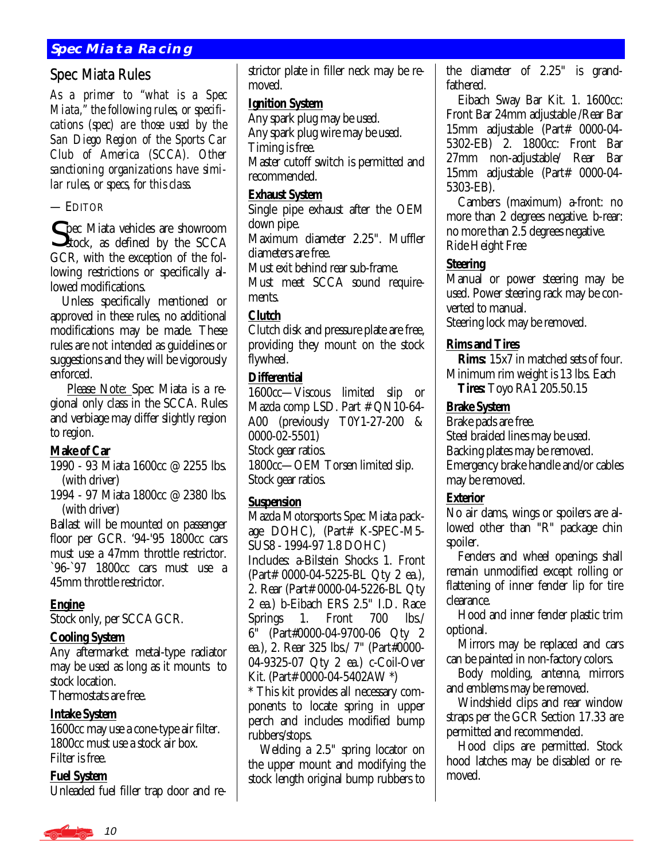#### **Spec Miata Racing**

#### Spec Miata Rules

*As a primer to "what is a Spec Miata," the following rules, or specifications (spec) are those used by the San Diego Region of the Sports Car Club of America (SCCA). Other sanctioning organizations have similar rules, or specs, for this class.* 

— EDITOR

**C** pec Miata vehicles are showroom  $\mathcal{S}_{\text{stock}}$ , as defined by the SCCA GCR, with the exception of the following restrictions or specifically allowed modifications.

 Unless specifically mentioned or approved in these rules, no additional modifications may be made. These rules are not intended as guidelines or suggestions and they will be vigorously enforced.

 Please Note: Spec Miata is a regional only class in the SCCA. Rules and verbiage may differ slightly region to region.

#### **Make of Car**

1990 - 93 Miata 1600cc @ 2255 lbs. (with driver)

1994 - 97 Miata 1800cc @ 2380 lbs. (with driver)

Ballast will be mounted on passenger floor per GCR. '94-'95 1800cc cars must use a 47mm throttle restrictor. `96-`97 1800cc cars must use a 45mm throttle restrictor.

#### **Engine**

Stock only, per SCCA GCR.

#### **Cooling System**

Any aftermarket metal-type radiator may be used as long as it mounts to stock location.

Thermostats are free.

#### **Intake System**

1600cc may use a cone-type air filter. 1800cc must use a stock air box. Filter is free.

#### **Fuel System**

Unleaded fuel filler trap door and re-

strictor plate in filler neck may be removed.

#### **Ignition System**

Any spark plug may be used. Any spark plug wire may be used. Timing is free.

Master cutoff switch is permitted and recommended.

#### **Exhaust System**

Single pipe exhaust after the OEM down pipe.

Maximum diameter 2.25". Muffler diameters are free.

Must exit behind rear sub-frame.

Must meet SCCA sound requirements.

#### **Clutch**

Clutch disk and pressure plate are free, providing they mount on the stock flywheel.

#### **Differential**

1600cc—Viscous limited slip or Mazda comp LSD. Part # QN10-64- A00 (previously T0Y1-27-200 & 0000-02-5501) Stock gear ratios. 1800cc—OEM Torsen limited slip. Stock gear ratios.

#### **Suspension**

Mazda Motorsports Spec Miata package DOHC), (Part# K-SPEC-M5- SUS8 - 1994-97 1.8 DOHC) Includes: a-Bilstein Shocks 1. Front (Part# 0000-04-5225-BL Qty 2 ea.), 2. Rear (Part# 0000-04-5226-BL Qty 2 ea.) b-Eibach ERS 2.5" I.D. Race Springs 1. Front 700 lbs./ 6" (Part#0000-04-9700-06 Qty 2 ea.), 2. Rear 325 lbs./ 7" (Part#0000- 04-9325-07 Qty 2 ea.) c-Coil-Over Kit. (Part# 0000-04-5402AW \*)

\* This kit provides all necessary components to locate spring in upper perch and includes modified bump rubbers/stops.

 Welding a 2.5" spring locator on the upper mount and modifying the stock length original bump rubbers to the diameter of 2.25" is grandfathered.

 Eibach Sway Bar Kit. 1. 1600cc: Front Bar 24mm adjustable /Rear Bar 15mm adjustable (Part# 0000-04- 5302-EB) 2. 1800cc: Front Bar 27mm non-adjustable/ Rear Bar 15mm adjustable (Part# 0000-04- 5303-EB).

 Cambers (maximum) a-front: no more than 2 degrees negative. b-rear: no more than 2.5 degrees negative. Ride Height Free

#### **Steering**

Manual or power steering may be used. Power steering rack may be converted to manual.

Steering lock may be removed.

#### **Rims and Tires**

 **Rims:** 15x7 in matched sets of four. Minimum rim weight is 13 lbs. Each **Tires:** Toyo RA1 205.50.15

#### **Brake System**

Brake pads are free. Steel braided lines may be used. Backing plates may be removed. Emergency brake handle and/or cables may be removed.

#### **Exterior**

No air dams, wings or spoilers are allowed other than "R" package chin spoiler.

 Fenders and wheel openings shall remain unmodified except rolling or flattening of inner fender lip for tire clearance.

 Hood and inner fender plastic trim optional.

 Mirrors may be replaced and cars can be painted in non-factory colors.

 Body molding, antenna, mirrors and emblems may be removed.

 Windshield clips and rear window straps per the GCR Section 17.33 are permitted and recommended.

 Hood clips are permitted. Stock hood latches may be disabled or removed.

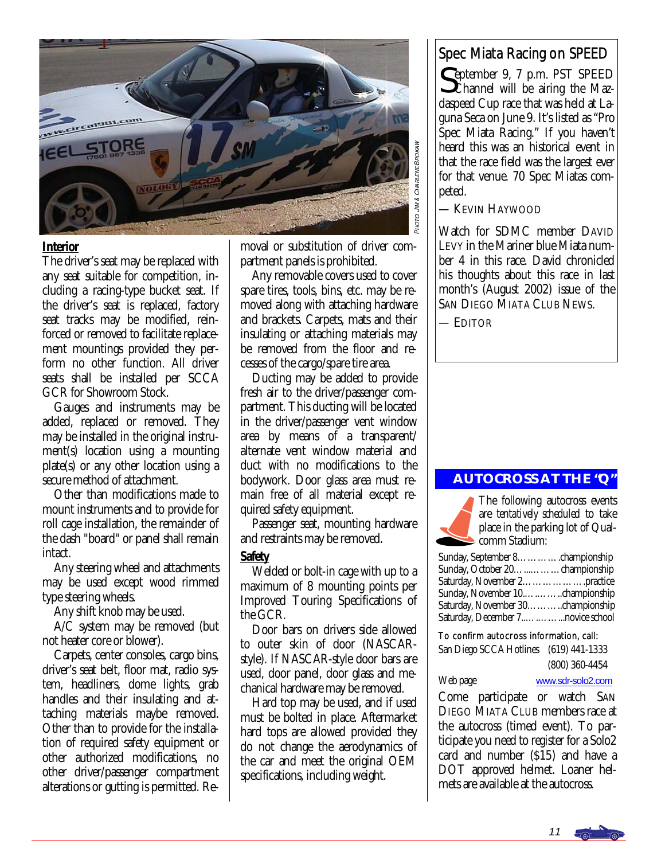

#### **Interior**

The driver's seat may be replaced with any seat suitable for competition, including a racing-type bucket seat. If the driver's seat is replaced, factory seat tracks may be modified, reinforced or removed to facilitate replacement mountings provided they perform no other function. All driver seats shall be installed per SCCA GCR for Showroom Stock.

 Gauges and instruments may be added, replaced or removed. They may be installed in the original instrument(s) location using a mounting plate(s) or any other location using a secure method of attachment.

 Other than modifications made to mount instruments and to provide for roll cage installation, the remainder of the dash "board" or panel shall remain intact.

 Any steering wheel and attachments may be used except wood rimmed type steering wheels.

Any shift knob may be used.

 A/C system may be removed (but not heater core or blower).

 Carpets, center consoles, cargo bins, driver's seat belt, floor mat, radio system, headliners, dome lights, grab handles and their insulating and attaching materials maybe removed. Other than to provide for the installation of required safety equipment or other authorized modifications, no other driver/passenger compartment alterations or gutting is permitted. Removal or substitution of driver compartment panels is prohibited.

 Any removable covers used to cover spare tires, tools, bins, etc. may be removed along with attaching hardware and brackets. Carpets, mats and their insulating or attaching materials may be removed from the floor and recesses of the cargo/spare tire area.

 Ducting may be added to provide fresh air to the driver/passenger compartment. This ducting will be located in the driver/passenger vent window area by means of a transparent/ alternate vent window material and duct with no modifications to the bodywork. Door glass area must remain free of all material except required safety equipment.

 Passenger seat, mounting hardware and restraints may be removed.

#### **Safety**

 Welded or bolt-in cage with up to a maximum of 8 mounting points per Improved Touring Specifications of the GCR.

 Door bars on drivers side allowed to outer skin of door (NASCARstyle). If NASCAR-style door bars are used, door panel, door glass and mechanical hardware may be removed.

 Hard top may be used, and if used must be bolted in place. Aftermarket hard tops are allowed provided they do not change the aerodynamics of the car and meet the original OEM specifications, including weight.

#### Spec Miata Racing on SPEED

September 9, 7 p.m. PST SPEED **O**Channel will be airing the Mazdaspeed Cup race that was held at Laguna Seca on June 9. It's listed as "Pro Spec Miata Racing." If you haven't heard this was an historical event in that the race field was the largest ever for that venue. 70 Spec Miatas competed.

#### — KEVIN HAYWOOD

Watch for SDMC member DAVID LEVY in the Mariner blue Miata number 4 in this race. David chronicled his thoughts about this race in last month's (August 2002) issue of the SAN DIEGO MIATA CLUB NEWS.

— EDITOR

#### **AUTOCROSS AT THE "Q"**



The following autocross events are *tentatively scheduled* to take place in the parking lot of Qualcomm Stadium:

| Sunday, September 8. championship |  |
|-----------------------------------|--|
| Sunday, October 20. championship  |  |
| Saturday, November 2practice      |  |
|                                   |  |
|                                   |  |
|                                   |  |

#### To confirm autocross information, call:

San Diego SCCA Hotlines (619) 441-1333 (800) 360-4454

Web page [www.sdr-solo2.com](http://www.sdr-solo2.com)

Come participate or watch SAN DIEGO MIATA CLUB members race at the autocross (timed event). To participate you need to register for a Solo2 card and number (\$15) and have a DOT approved helmet. Loaner helmets are available at the autocross.

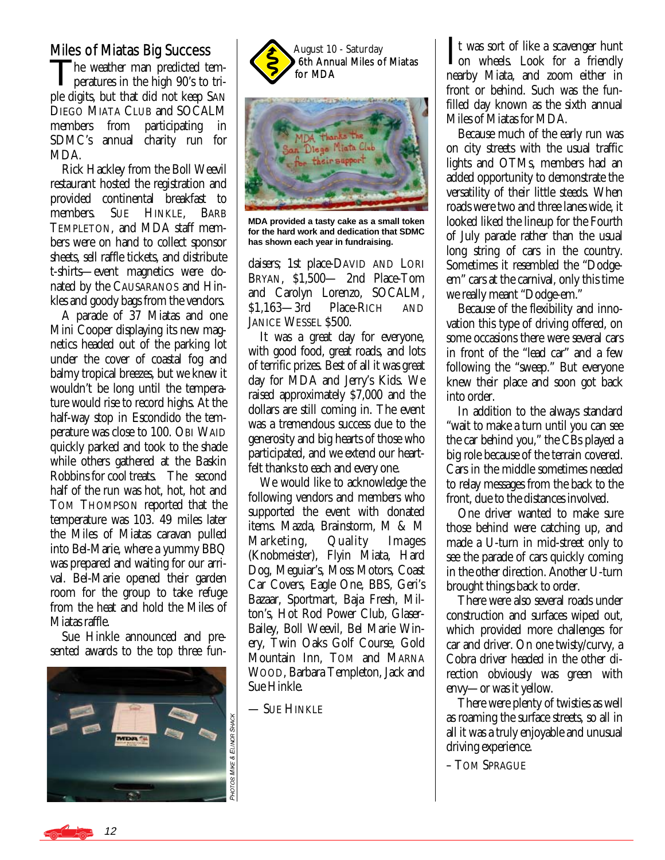#### Miles of Miatas Big Success

The weather man predicted temperatures in the high 90's to triple digits, but that did not keep SAN DIEGO MIATA CLUB and SOCALM members from participating in SDMC's annual charity run for MDA.

 Rick Hackley from the Boll Weevil restaurant hosted the registration and provided continental breakfast to members. SUE HINKLE, BARB TEMPLETON, and MDA staff members were on hand to collect sponsor sheets, sell raffle tickets, and distribute t-shirts—event magnetics were donated by the CAUSARANOS and Hinkles and goody bags from the vendors.

 A parade of 37 Miatas and one Mini Cooper displaying its new magnetics headed out of the parking lot under the cover of coastal fog and balmy tropical breezes, but we knew it wouldn't be long until the temperature would rise to record highs. At the half-way stop in Escondido the temperature was close to 100. OBI WAID quickly parked and took to the shade while others gathered at the Baskin Robbins for cool treats. The second half of the run was hot, hot, hot and TOM THOMPSON reported that the temperature was 103. 49 miles later the Miles of Miatas caravan pulled into Bel-Marie, where a yummy BBQ was prepared and waiting for our arrival. Bel-Marie opened their garden room for the group to take refuge from the heat and hold the Miles of Miatas raffle.

 Sue Hinkle announced and presented awards to the top three fun-





**MDA provided a tasty cake as a small token for the hard work and dedication that SDMC has shown each year in fundraising.** 

daisers; 1st place-DAVID AND LORI BRYAN, \$1,500— 2nd Place-Tom and Carolyn Lorenzo, SOCALM, \$1,163—3rd Place-RICH AND JANICE WESSEL \$500.

 It was a great day for everyone, with good food, great roads, and lots of terrific prizes. Best of all it was great day for MDA and Jerry's Kids. We raised approximately \$7,000 and the dollars are still coming in. The event was a tremendous success due to the generosity and big hearts of those who participated, and we extend our heartfelt thanks to each and every one.

 We would like to acknowledge the following vendors and members who supported the event with donated items. Mazda, Brainstorm, M & M Marketing, Quality Images (Knobmeister), Flyin Miata, Hard Dog, Meguiar's, Moss Motors, Coast Car Covers, Eagle One, BBS, Geri's Bazaar, Sportmart, Baja Fresh, Milton's, Hot Rod Power Club, Glaser-Bailey, Boll Weevil, Bel Marie Winery, Twin Oaks Golf Course, Gold Mountain Inn, TOM and MARNA WOOD, Barbara Templeton, Jack and Sue Hinkle.

— SUE HINKLE

It was sort of like a scavenger hunt<br>
on wheels. Look for a friendly nearby Miata, and zoom either in front or behind. Such was the funfilled day known as the sixth annual Miles of Miatas for MDA.

 Because much of the early run was on city streets with the usual traffic lights and OTMs, members had an added opportunity to demonstrate the versatility of their little steeds. When roads were two and three lanes wide, it looked liked the lineup for the Fourth of July parade rather than the usual long string of cars in the country. Sometimes it resembled the "Dodgeem" cars at the carnival, only this time we really meant "Dodge-em."

 Because of the flexibility and innovation this type of driving offered, on some occasions there were several cars in front of the "lead car" and a few following the "sweep." But everyone knew their place and soon got back into order.

 In addition to the always standard "wait to make a turn until you can see the car behind you," the CBs played a big role because of the terrain covered. Cars in the middle sometimes needed to relay messages from the back to the front, due to the distances involved.

 One driver wanted to make sure those behind were catching up, and made a U-turn in mid-street only to see the parade of cars quickly coming in the other direction. Another U-turn brought things back to order.

 There were also several roads under construction and surfaces wiped out, which provided more challenges for car and driver. On one twisty/curvy, a Cobra driver headed in the other direction obviously was green with envy—or was it yellow.

 There were plenty of twisties as well as roaming the surface streets, so all in all it was a truly enjoyable and unusual driving experience.

– TOM SPRAGUE

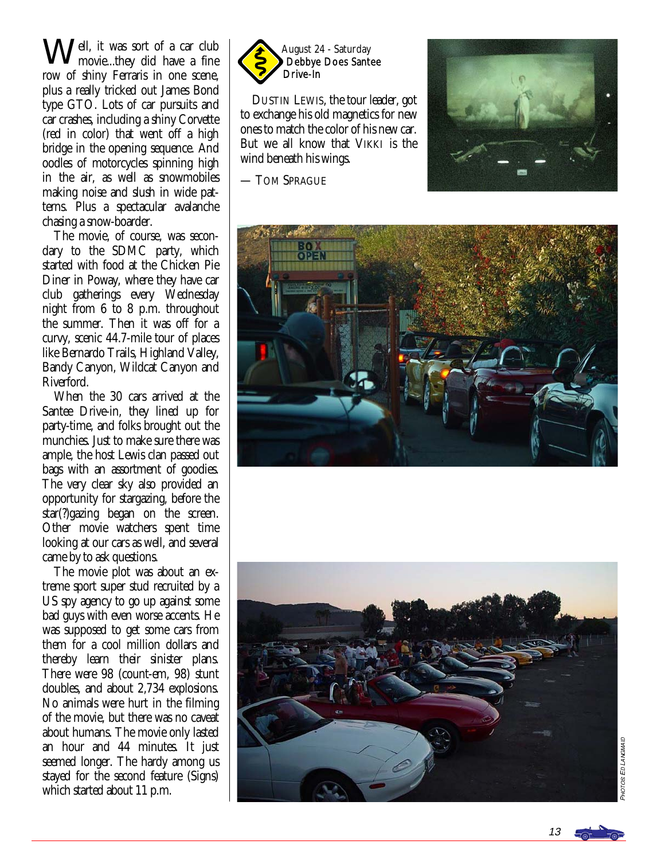Well, it was sort of a car club<br>movie...they did have a fine ell, it was sort of a car club row of shiny Ferraris in one scene, plus a really tricked out James Bond type GTO. Lots of car pursuits and car crashes, including a shiny Corvette (red in color) that went off a high bridge in the opening sequence. And oodles of motorcycles spinning high in the air, as well as snowmobiles making noise and slush in wide patterns. Plus a spectacular avalanche chasing a snow-boarder.

 The movie, of course, was secondary to the SDMC party, which started with food at the Chicken Pie Diner in Poway, where they have car club gatherings every Wednesday night from 6 to 8 p.m. throughout the summer. Then it was off for a curvy, scenic 44.7-mile tour of places like Bernardo Trails, Highland Valley, Bandy Canyon, Wildcat Canyon and Riverford.

 When the 30 cars arrived at the Santee Drive-in, they lined up for party-time, and folks brought out the munchies. Just to make sure there was ample, the host Lewis clan passed out bags with an assortment of goodies. The very clear sky also provided an opportunity for stargazing, before the star(?)gazing began on the screen. Other movie watchers spent time looking at our cars as well, and several came by to ask questions.

 The movie plot was about an extreme sport super stud recruited by a US spy agency to go up against some bad guys with even worse accents. He was supposed to get some cars from them for a cool million dollars and thereby learn their sinister plans. There were 98 (count-em, 98) stunt doubles, and about 2,734 explosions. No animals were hurt in the filming of the movie, but there was no caveat about humans. The movie only lasted an hour and 44 minutes. It just seemed longer. The hardy among us stayed for the second feature (Signs) which started about 11 p.m.



 DUSTIN LEWIS, the tour leader, got to exchange his old magnetics for new ones to match the color of his new car. But we all know that VIKKI is the wind beneath his wings.

— TOM SPRAGUE







**PHOTOS ED LANGMAIL** OS ED LANGMAID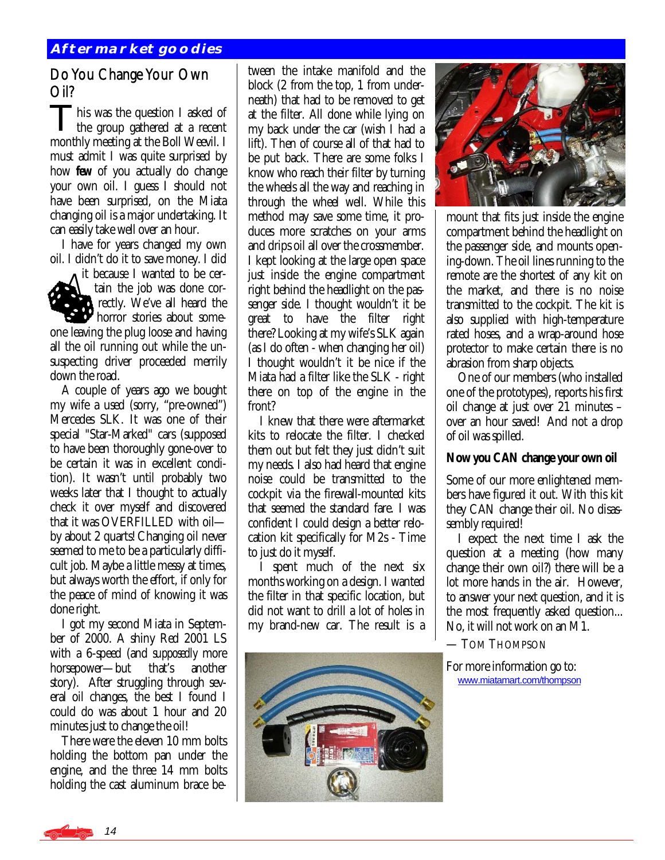#### Do You Change Your Own Oil?

This was the question I asked of the group gathered at a recent monthly meeting at the Boll Weevil. I must admit I was quite surprised by how *few* of you actually do change your own oil. I guess I should not have been surprised, on the Miata changing oil is a major undertaking. It can easily take well over an hour.

 I have for years changed my own oil. I didn't do it to save money. I did

it because I wanted to be certain the job was done correctly. We've all heard the horror stories about someone leaving the plug loose and having all the oil running out while the unsuspecting driver proceeded merrily down the road.

 A couple of years ago we bought my wife a used (sorry, "pre-owned") Mercedes SLK. It was one of their special "Star-Marked" cars (supposed to have been thoroughly gone-over to be certain it was in excellent condition). It wasn't until probably two weeks later that I thought to actually check it over myself and discovered that it was OVERFILLED with oil by about 2 quarts! Changing oil never seemed to me to be a particularly difficult job. Maybe a little messy at times, but always worth the effort, if only for the peace of mind of knowing it was done right.

 I got my second Miata in September of 2000. A shiny Red 2001 LS with a 6-speed (and *supposedly* more horsepower—but that's another story). After struggling through several oil changes, the best I found I could do was about 1 hour and 20 minutes just to change the oil!

 There were the eleven 10 mm bolts holding the bottom pan under the engine, and the three 14 mm bolts holding the cast aluminum brace be-

tween the intake manifold and the block (2 from the top, 1 from underneath) that had to be removed to get at the filter. All done while lying on my back under the car (wish I had a lift). Then of course all of that had to be put back. There are some folks I know who reach their filter by turning the wheels all the way and reaching in through the wheel well. While this method may save some time, it produces more scratches on your arms and drips oil all over the crossmember. I kept looking at the large open space just inside the engine compartment right behind the headlight on the passenger side. I thought wouldn't it be great to have the filter right there? Looking at my wife's SLK again (as I do often - when changing her oil) I thought wouldn't it be nice if the Miata had a filter like the SLK - right there on top of the engine in the front?

 I knew that there were aftermarket kits to relocate the filter. I checked them out but felt they just didn't suit my needs. I also had heard that engine noise could be transmitted to the cockpit via the firewall-mounted kits that seemed the standard fare. I was confident I could design a better relocation kit specifically for M2s - Time to just do it myself.

 I spent much of the next six months working on a design. I wanted the filter in that specific location, but did not want to drill a lot of holes in my brand-new car. The result is a





mount that fits just inside the engine compartment behind the headlight on the passenger side, and mounts opening-down. The oil lines running to the remote are the shortest of any kit on the market, and there is no noise transmitted to the cockpit. The kit is also supplied with high-temperature rated hoses, and a wrap-around hose protector to make certain there is no abrasion from sharp objects.

 One of our members (who installed one of the prototypes), reports his first oil change at just over 21 minutes – over an hour saved! And not a drop of oil was spilled.

#### **Now you CAN change your own oil**

Some of our more enlightened members have figured it out. With this kit they CAN change their oil. No disassembly required!

 I expect the next time I ask the question at a meeting (how many change their own oil?) there will be a lot more hands in the air. However, to answer your next question, and it is the most frequently asked question... No, it will not work on an M1.

— TOM THOMPSON

For more information go to: [www.miatamart.com/thompson](http://www.miatamart.com/thompson)

14